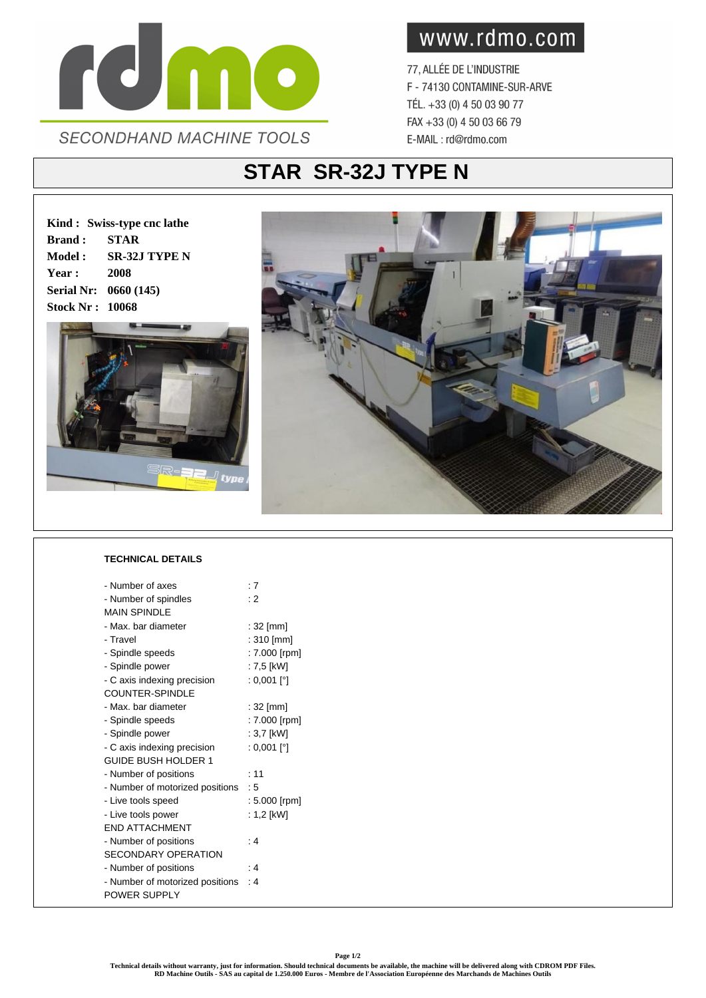

www.rdmo.com

77, ALLÉE DE L'INDUSTRIE F - 74130 CONTAMINE-SUR-ARVE TÉL. +33 (0) 4 50 03 90 77 FAX +33 (0) 4 50 03 66 79 E-MAIL: rd@rdmo.com

## **STAR SR-32J TYPE N**

**Kind : Swiss-type cnc lathe Brand : STAR Model : SR-32J TYPE N Year : 2008 Serial Nr: 0660 (145) Stock Nr : 10068**





## **TECHNICAL DETAILS**

| - Number of axes                | :7            |
|---------------------------------|---------------|
| - Number of spindles            | : 2           |
| <b>MAIN SPINDI F</b>            |               |
| - Max, bar diameter             | $:32$ [mm]    |
| - Travel                        | : 310 [mm]    |
| - Spindle speeds                | : 7.000 [rpm] |
| - Spindle power                 | : 7,5 [kW]    |
| - C axis indexing precision     | : 0,001 [°]   |
| <b>COUNTER-SPINDLE</b>          |               |
| - Max. bar diameter             | $:32$ [mm]    |
| - Spindle speeds                | : 7.000 [rpm] |
| - Spindle power                 | : 3,7 [kW]    |
| - C axis indexing precision     | : 0,001 [°]   |
| <b>GUIDE BUSH HOLDER 1</b>      |               |
| - Number of positions           | : 11          |
| - Number of motorized positions | : 5           |
| - Live tools speed              | : 5.000 [rpm] |
| - Live tools power              | : 1,2 [kW]    |
| <b>FND ATTACHMENT</b>           |               |
| - Number of positions           | : 4           |
| <b>SECONDARY OPERATION</b>      |               |
| - Number of positions           | $\cdot$ 4     |
| - Number of motorized positions | ۰4            |
| POWER SUPPLY                    |               |
|                                 |               |